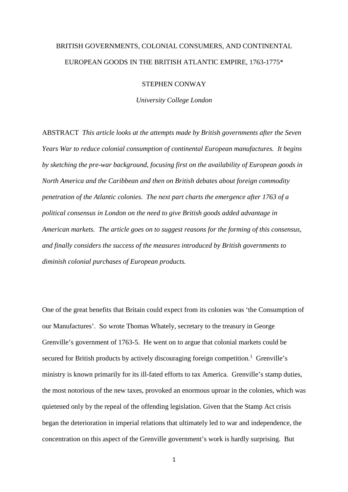# BRITISH GOVERNMENTS, COLONIAL CONSUMERS, AND CONTINENTAL EUROPEAN GOODS IN THE BRITISH ATLANTIC EMPIRE, 1763-1775\*

STEPHEN CONWAY

*University College London*

ABSTRACT *This article looks at the attempts made by British governments after the Seven Years War to reduce colonial consumption of continental European manufactures. It begins by sketching the pre-war background, focusing first on the availability of European goods in North America and the Caribbean and then on British debates about foreign commodity penetration of the Atlantic colonies. The next part charts the emergence after 1763 of a political consensus in London on the need to give British goods added advantage in American markets. The article goes on to suggest reasons for the forming of this consensus, and finally considers the success of the measures introduced by British governments to diminish colonial purchases of European products.*

One of the great benefits that Britain could expect from its colonies was 'the Consumption of our Manufactures'. So wrote Thomas Whately, secretary to the treasury in George Grenville's government of 1763-5. He went on to argue that colonial markets could be secured for British products by actively discouraging foreign competition.<sup>1</sup> Grenville's ministry is known primarily for its ill-fated efforts to tax America. Grenville's stamp duties, the most notorious of the new taxes, provoked an enormous uproar in the colonies, which was quietened only by the repeal of the offending legislation. Given that the Stamp Act crisis began the deterioration in imperial relations that ultimately led to war and independence, the concentration on this aspect of the Grenville government's work is hardly surprising. But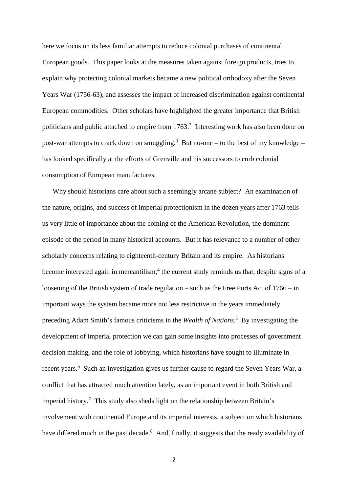here we focus on its less familiar attempts to reduce colonial purchases of continental European goods. This paper looks at the measures taken against foreign products, tries to explain why protecting colonial markets became a new political orthodoxy after the Seven Years War (1756-63), and assesses the impact of increased discrimination against continental European commodities. Other scholars have highlighted the greater importance that British politicians and public attached to empire from  $1763$ <sup>2</sup> Interesting work has also been done on post-war attempts to crack down on smuggling.<sup>3</sup> But no-one – to the best of my knowledge – has looked specifically at the efforts of Grenville and his successors to curb colonial consumption of European manufactures.

Why should historians care about such a seemingly arcane subject? An examination of the nature, origins, and success of imperial protectionism in the dozen years after 1763 tells us very little of importance about the coming of the American Revolution, the dominant episode of the period in many historical accounts. But it has relevance to a number of other scholarly concerns relating to eighteenth-century Britain and its empire. As historians become interested again in mercantilism, $4$  the current study reminds us that, despite signs of a loosening of the British system of trade regulation – such as the Free Ports Act of 1766 – in important ways the system became more not less restrictive in the years immediately preceding Adam Smith's famous criticisms in the *Wealth of Nations*. <sup>5</sup> By investigating the development of imperial protection we can gain some insights into processes of government decision making, and the role of lobbying, which historians have sought to illuminate in recent years.<sup>6</sup> Such an investigation gives us further cause to regard the Seven Years War, a conflict that has attracted much attention lately, as an important event in both British and imperial history.<sup>7</sup> This study also sheds light on the relationship between Britain's involvement with continental Europe and its imperial interests, a subject on which historians have differed much in the past decade.<sup>8</sup> And, finally, it suggests that the ready availability of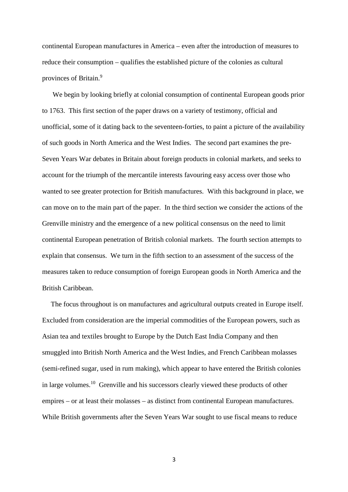continental European manufactures in America – even after the introduction of measures to reduce their consumption – qualifies the established picture of the colonies as cultural provinces of Britain.<sup>9</sup>

We begin by looking briefly at colonial consumption of continental European goods prior to 1763. This first section of the paper draws on a variety of testimony, official and unofficial, some of it dating back to the seventeen-forties, to paint a picture of the availability of such goods in North America and the West Indies. The second part examines the pre-Seven Years War debates in Britain about foreign products in colonial markets, and seeks to account for the triumph of the mercantile interests favouring easy access over those who wanted to see greater protection for British manufactures. With this background in place, we can move on to the main part of the paper. In the third section we consider the actions of the Grenville ministry and the emergence of a new political consensus on the need to limit continental European penetration of British colonial markets. The fourth section attempts to explain that consensus. We turn in the fifth section to an assessment of the success of the measures taken to reduce consumption of foreign European goods in North America and the British Caribbean.

The focus throughout is on manufactures and agricultural outputs created in Europe itself. Excluded from consideration are the imperial commodities of the European powers, such as Asian tea and textiles brought to Europe by the Dutch East India Company and then smuggled into British North America and the West Indies, and French Caribbean molasses (semi-refined sugar, used in rum making), which appear to have entered the British colonies in large volumes.<sup>10</sup> Grenville and his successors clearly viewed these products of other empires – or at least their molasses – as distinct from continental European manufactures. While British governments after the Seven Years War sought to use fiscal means to reduce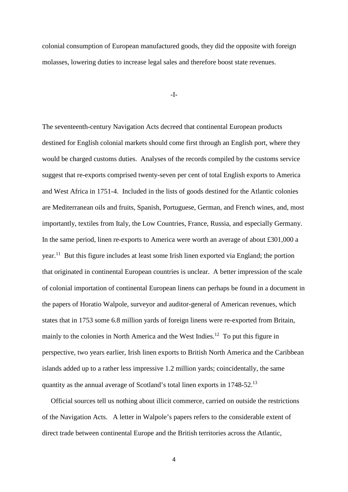colonial consumption of European manufactured goods, they did the opposite with foreign molasses, lowering duties to increase legal sales and therefore boost state revenues.

### -I-

The seventeenth-century Navigation Acts decreed that continental European products destined for English colonial markets should come first through an English port, where they would be charged customs duties. Analyses of the records compiled by the customs service suggest that re-exports comprised twenty-seven per cent of total English exports to America and West Africa in 1751-4. Included in the lists of goods destined for the Atlantic colonies are Mediterranean oils and fruits, Spanish, Portuguese, German, and French wines, and, most importantly, textiles from Italy, the Low Countries, France, Russia, and especially Germany. In the same period, linen re-exports to America were worth an average of about £301,000 a year.<sup>11</sup> But this figure includes at least some Irish linen exported via England; the portion that originated in continental European countries is unclear. A better impression of the scale of colonial importation of continental European linens can perhaps be found in a document in the papers of Horatio Walpole, surveyor and auditor-general of American revenues, which states that in 1753 some 6.8 million yards of foreign linens were re-exported from Britain, mainly to the colonies in North America and the West Indies.<sup>12</sup> To put this figure in perspective, two years earlier, Irish linen exports to British North America and the Caribbean islands added up to a rather less impressive 1.2 million yards; coincidentally, the same quantity as the annual average of Scotland's total linen exports in 1748-52.<sup>13</sup>

Official sources tell us nothing about illicit commerce, carried on outside the restrictions of the Navigation Acts. A letter in Walpole's papers refers to the considerable extent of direct trade between continental Europe and the British territories across the Atlantic,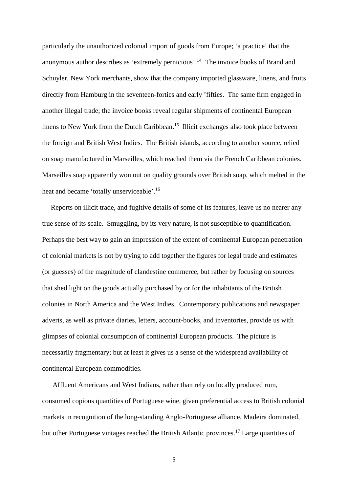particularly the unauthorized colonial import of goods from Europe; 'a practice' that the anonymous author describes as 'extremely pernicious'.<sup>14</sup> The invoice books of Brand and Schuyler, New York merchants, show that the company imported glassware, linens, and fruits directly from Hamburg in the seventeen-forties and early 'fifties. The same firm engaged in another illegal trade; the invoice books reveal regular shipments of continental European linens to New York from the Dutch Caribbean.<sup>15</sup> Illicit exchanges also took place between the foreign and British West Indies. The British islands, according to another source, relied on soap manufactured in Marseilles, which reached them via the French Caribbean colonies. Marseilles soap apparently won out on quality grounds over British soap, which melted in the heat and became 'totally unserviceable'.<sup>16</sup>

Reports on illicit trade, and fugitive details of some of its features, leave us no nearer any true sense of its scale. Smuggling, by its very nature, is not susceptible to quantification. Perhaps the best way to gain an impression of the extent of continental European penetration of colonial markets is not by trying to add together the figures for legal trade and estimates (or guesses) of the magnitude of clandestine commerce, but rather by focusing on sources that shed light on the goods actually purchased by or for the inhabitants of the British colonies in North America and the West Indies. Contemporary publications and newspaper adverts, as well as private diaries, letters, account-books, and inventories, provide us with glimpses of colonial consumption of continental European products. The picture is necessarily fragmentary; but at least it gives us a sense of the widespread availability of continental European commodities.

Affluent Americans and West Indians, rather than rely on locally produced rum, consumed copious quantities of Portuguese wine, given preferential access to British colonial markets in recognition of the long-standing Anglo-Portuguese alliance. Madeira dominated, but other Portuguese vintages reached the British Atlantic provinces.<sup>17</sup> Large quantities of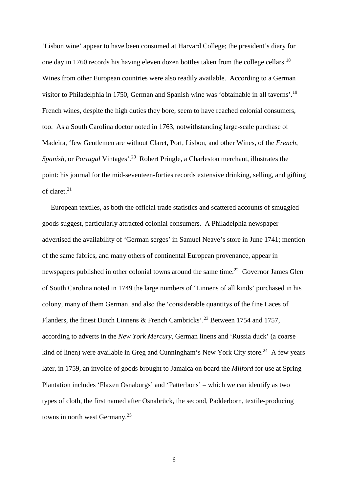'Lisbon wine' appear to have been consumed at Harvard College; the president's diary for one day in 1760 records his having eleven dozen bottles taken from the college cellars.<sup>18</sup> Wines from other European countries were also readily available. According to a German visitor to Philadelphia in 1750, German and Spanish wine was 'obtainable in all taverns'.<sup>19</sup> French wines, despite the high duties they bore, seem to have reached colonial consumers, too. As a South Carolina doctor noted in 1763, notwithstanding large-scale purchase of Madeira, 'few Gentlemen are without Claret, Port, Lisbon, and other Wines, of the *French*, *Spanish*, or *Portugal* Vintages'.<sup>20</sup> Robert Pringle, a Charleston merchant, illustrates the point: his journal for the mid-seventeen-forties records extensive drinking, selling, and gifting of claret.<sup>21</sup>

European textiles, as both the official trade statistics and scattered accounts of smuggled goods suggest, particularly attracted colonial consumers. A Philadelphia newspaper advertised the availability of 'German serges' in Samuel Neave's store in June 1741; mention of the same fabrics, and many others of continental European provenance, appear in newspapers published in other colonial towns around the same time.<sup>22</sup> Governor James Glen of South Carolina noted in 1749 the large numbers of 'Linnens of all kinds' purchased in his colony, many of them German, and also the 'considerable quantitys of the fine Laces of Flanders, the finest Dutch Linnens & French Cambricks'.<sup>23</sup> Between 1754 and 1757, according to adverts in the *New York Mercury*, German linens and 'Russia duck' (a coarse kind of linen) were available in Greg and Cunningham's New York City store.<sup>24</sup> A few years later, in 1759, an invoice of goods brought to Jamaica on board the *Milford* for use at Spring Plantation includes 'Flaxen Osnaburgs' and 'Patterbons' – which we can identify as two types of cloth, the first named after Osnabrück, the second, Padderborn, textile-producing towns in north west Germany.<sup>25</sup>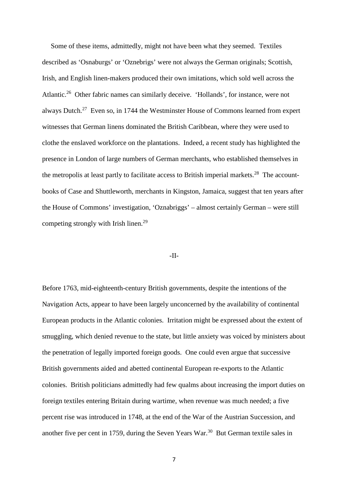Some of these items, admittedly, might not have been what they seemed. Textiles described as 'Osnaburgs' or 'Oznebrigs' were not always the German originals; Scottish, Irish, and English linen-makers produced their own imitations, which sold well across the Atlantic.<sup>26</sup> Other fabric names can similarly deceive. 'Hollands', for instance, were not always Dutch.<sup>27</sup> Even so, in 1744 the Westminster House of Commons learned from expert witnesses that German linens dominated the British Caribbean, where they were used to clothe the enslaved workforce on the plantations. Indeed, a recent study has highlighted the presence in London of large numbers of German merchants, who established themselves in the metropolis at least partly to facilitate access to British imperial markets.<sup>28</sup> The accountbooks of Case and Shuttleworth, merchants in Kingston, Jamaica, suggest that ten years after the House of Commons' investigation, 'Oznabriggs' – almost certainly German – were still competing strongly with Irish linen.<sup>29</sup>

#### -II-

Before 1763, mid-eighteenth-century British governments, despite the intentions of the Navigation Acts, appear to have been largely unconcerned by the availability of continental European products in the Atlantic colonies. Irritation might be expressed about the extent of smuggling, which denied revenue to the state, but little anxiety was voiced by ministers about the penetration of legally imported foreign goods. One could even argue that successive British governments aided and abetted continental European re-exports to the Atlantic colonies. British politicians admittedly had few qualms about increasing the import duties on foreign textiles entering Britain during wartime, when revenue was much needed; a five percent rise was introduced in 1748, at the end of the War of the Austrian Succession, and another five per cent in 1759, during the Seven Years War.<sup>30</sup> But German textile sales in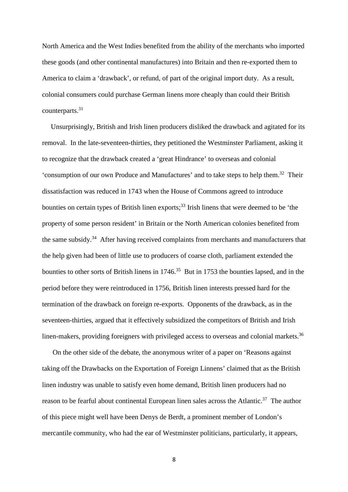North America and the West Indies benefited from the ability of the merchants who imported these goods (and other continental manufactures) into Britain and then re-exported them to America to claim a 'drawback', or refund, of part of the original import duty. As a result, colonial consumers could purchase German linens more cheaply than could their British counterparts.<sup>31</sup>

Unsurprisingly, British and Irish linen producers disliked the drawback and agitated for its removal. In the late-seventeen-thirties, they petitioned the Westminster Parliament, asking it to recognize that the drawback created a 'great Hindrance' to overseas and colonial 'consumption of our own Produce and Manufactures' and to take steps to help them.<sup>32</sup> Their dissatisfaction was reduced in 1743 when the House of Commons agreed to introduce bounties on certain types of British linen exports;<sup>33</sup> Irish linens that were deemed to be 'the property of some person resident' in Britain or the North American colonies benefited from the same subsidy.<sup>34</sup> After having received complaints from merchants and manufacturers that the help given had been of little use to producers of coarse cloth, parliament extended the bounties to other sorts of British linens in  $1746<sup>35</sup>$  But in 1753 the bounties lapsed, and in the period before they were reintroduced in 1756, British linen interests pressed hard for the termination of the drawback on foreign re-exports. Opponents of the drawback, as in the seventeen-thirties, argued that it effectively subsidized the competitors of British and Irish linen-makers, providing foreigners with privileged access to overseas and colonial markets.<sup>36</sup>

On the other side of the debate, the anonymous writer of a paper on 'Reasons against taking off the Drawbacks on the Exportation of Foreign Linnens' claimed that as the British linen industry was unable to satisfy even home demand, British linen producers had no reason to be fearful about continental European linen sales across the Atlantic.<sup>37</sup> The author of this piece might well have been Denys de Berdt, a prominent member of London's mercantile community, who had the ear of Westminster politicians, particularly, it appears,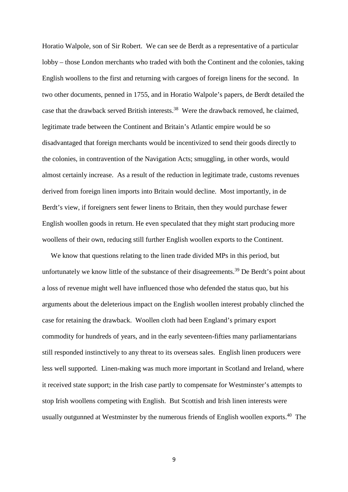Horatio Walpole, son of Sir Robert. We can see de Berdt as a representative of a particular lobby – those London merchants who traded with both the Continent and the colonies, taking English woollens to the first and returning with cargoes of foreign linens for the second. In two other documents, penned in 1755, and in Horatio Walpole's papers, de Berdt detailed the case that the drawback served British interests.<sup>38</sup> Were the drawback removed, he claimed, legitimate trade between the Continent and Britain's Atlantic empire would be so disadvantaged that foreign merchants would be incentivized to send their goods directly to the colonies, in contravention of the Navigation Acts; smuggling, in other words, would almost certainly increase. As a result of the reduction in legitimate trade, customs revenues derived from foreign linen imports into Britain would decline. Most importantly, in de Berdt's view, if foreigners sent fewer linens to Britain, then they would purchase fewer English woollen goods in return. He even speculated that they might start producing more woollens of their own, reducing still further English woollen exports to the Continent.

We know that questions relating to the linen trade divided MPs in this period, but unfortunately we know little of the substance of their disagreements.<sup>39</sup> De Berdt's point about a loss of revenue might well have influenced those who defended the status quo, but his arguments about the deleterious impact on the English woollen interest probably clinched the case for retaining the drawback. Woollen cloth had been England's primary export commodity for hundreds of years, and in the early seventeen-fifties many parliamentarians still responded instinctively to any threat to its overseas sales. English linen producers were less well supported. Linen-making was much more important in Scotland and Ireland, where it received state support; in the Irish case partly to compensate for Westminster's attempts to stop Irish woollens competing with English. But Scottish and Irish linen interests were usually outgunned at Westminster by the numerous friends of English woollen exports.<sup>40</sup> The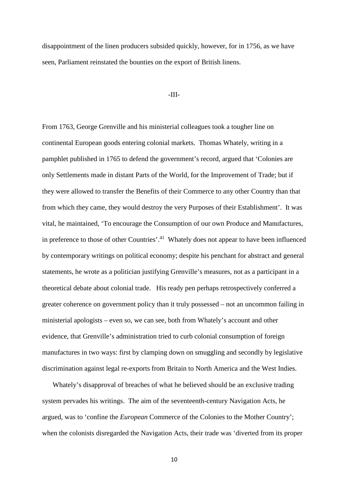disappointment of the linen producers subsided quickly, however, for in 1756, as we have seen, Parliament reinstated the bounties on the export of British linens.

## -III-

From 1763, George Grenville and his ministerial colleagues took a tougher line on continental European goods entering colonial markets. Thomas Whately, writing in a pamphlet published in 1765 to defend the government's record, argued that 'Colonies are only Settlements made in distant Parts of the World, for the Improvement of Trade; but if they were allowed to transfer the Benefits of their Commerce to any other Country than that from which they came, they would destroy the very Purposes of their Establishment'. It was vital, he maintained, 'To encourage the Consumption of our own Produce and Manufactures, in preference to those of other Countries'.<sup>41</sup> Whately does not appear to have been influenced by contemporary writings on political economy; despite his penchant for abstract and general statements, he wrote as a politician justifying Grenville's measures, not as a participant in a theoretical debate about colonial trade. His ready pen perhaps retrospectively conferred a greater coherence on government policy than it truly possessed – not an uncommon failing in ministerial apologists – even so, we can see, both from Whately's account and other evidence, that Grenville's administration tried to curb colonial consumption of foreign manufactures in two ways: first by clamping down on smuggling and secondly by legislative discrimination against legal re-exports from Britain to North America and the West Indies.

Whately's disapproval of breaches of what he believed should be an exclusive trading system pervades his writings. The aim of the seventeenth-century Navigation Acts, he argued, was to 'confine the *European* Commerce of the Colonies to the Mother Country'; when the colonists disregarded the Navigation Acts, their trade was 'diverted from its proper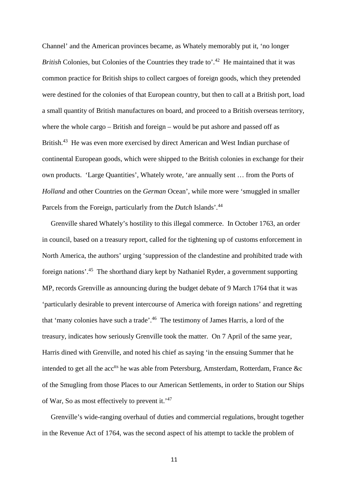Channel' and the American provinces became, as Whately memorably put it, 'no longer *British* Colonies, but Colonies of the Countries they trade to'.<sup>42</sup> He maintained that it was common practice for British ships to collect cargoes of foreign goods, which they pretended were destined for the colonies of that European country, but then to call at a British port, load a small quantity of British manufactures on board, and proceed to a British overseas territory, where the whole cargo – British and foreign – would be put ashore and passed off as British.<sup>43</sup> He was even more exercised by direct American and West Indian purchase of continental European goods, which were shipped to the British colonies in exchange for their own products. 'Large Quantities', Whately wrote, 'are annually sent … from the Ports of *Holland* and other Countries on the *German* Ocean', while more were 'smuggled in smaller Parcels from the Foreign, particularly from the *Dutch* Islands'.<sup>44</sup>

Grenville shared Whately's hostility to this illegal commerce. In October 1763, an order in council, based on a treasury report, called for the tightening up of customs enforcement in North America, the authors' urging 'suppression of the clandestine and prohibited trade with foreign nations'.<sup>45</sup> The shorthand diary kept by Nathaniel Ryder, a government supporting MP, records Grenville as announcing during the budget debate of 9 March 1764 that it was 'particularly desirable to prevent intercourse of America with foreign nations' and regretting that 'many colonies have such a trade'.<sup>46</sup> The testimony of James Harris, a lord of the treasury, indicates how seriously Grenville took the matter. On 7 April of the same year, Harris dined with Grenville, and noted his chief as saying 'in the ensuing Summer that he intended to get all the  $acc<sup>its</sup>$  he was able from Petersburg, Amsterdam, Rotterdam, France &c of the Smugling from those Places to our American Settlements, in order to Station our Ships of War, So as most effectively to prevent it.'<sup>47</sup>

Grenville's wide-ranging overhaul of duties and commercial regulations, brought together in the Revenue Act of 1764, was the second aspect of his attempt to tackle the problem of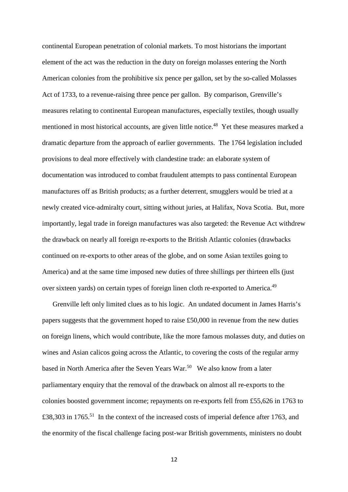continental European penetration of colonial markets. To most historians the important element of the act was the reduction in the duty on foreign molasses entering the North American colonies from the prohibitive six pence per gallon, set by the so-called Molasses Act of 1733, to a revenue-raising three pence per gallon. By comparison, Grenville's measures relating to continental European manufactures, especially textiles, though usually mentioned in most historical accounts, are given little notice.<sup>48</sup> Yet these measures marked a dramatic departure from the approach of earlier governments. The 1764 legislation included provisions to deal more effectively with clandestine trade: an elaborate system of documentation was introduced to combat fraudulent attempts to pass continental European manufactures off as British products; as a further deterrent, smugglers would be tried at a newly created vice-admiralty court, sitting without juries, at Halifax, Nova Scotia. But, more importantly, legal trade in foreign manufactures was also targeted: the Revenue Act withdrew the drawback on nearly all foreign re-exports to the British Atlantic colonies (drawbacks continued on re-exports to other areas of the globe, and on some Asian textiles going to America) and at the same time imposed new duties of three shillings per thirteen ells (just over sixteen yards) on certain types of foreign linen cloth re-exported to America.<sup>49</sup>

Grenville left only limited clues as to his logic. An undated document in James Harris's papers suggests that the government hoped to raise £50,000 in revenue from the new duties on foreign linens, which would contribute, like the more famous molasses duty, and duties on wines and Asian calicos going across the Atlantic, to covering the costs of the regular army based in North America after the Seven Years War.<sup>50</sup> We also know from a later parliamentary enquiry that the removal of the drawback on almost all re-exports to the colonies boosted government income; repayments on re-exports fell from £55,626 in 1763 to £38,303 in 1765.<sup>51</sup> In the context of the increased costs of imperial defence after 1763, and the enormity of the fiscal challenge facing post-war British governments, ministers no doubt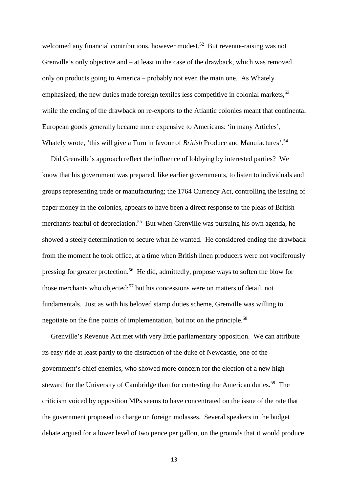welcomed any financial contributions, however modest.<sup>52</sup> But revenue-raising was not Grenville's only objective and – at least in the case of the drawback, which was removed only on products going to America – probably not even the main one. As Whately emphasized, the new duties made foreign textiles less competitive in colonial markets,<sup>53</sup> while the ending of the drawback on re-exports to the Atlantic colonies meant that continental European goods generally became more expensive to Americans: 'in many Articles', Whately wrote, 'this will give a Turn in favour of *British* Produce and Manufactures'.<sup>54</sup>

Did Grenville's approach reflect the influence of lobbying by interested parties? We know that his government was prepared, like earlier governments, to listen to individuals and groups representing trade or manufacturing; the 1764 Currency Act, controlling the issuing of paper money in the colonies, appears to have been a direct response to the pleas of British merchants fearful of depreciation.<sup>55</sup> But when Grenville was pursuing his own agenda, he showed a steely determination to secure what he wanted. He considered ending the drawback from the moment he took office, at a time when British linen producers were not vociferously pressing for greater protection.<sup>56</sup> He did, admittedly, propose ways to soften the blow for those merchants who objected;<sup>57</sup> but his concessions were on matters of detail, not fundamentals. Just as with his beloved stamp duties scheme, Grenville was willing to negotiate on the fine points of implementation, but not on the principle.<sup>58</sup>

Grenville's Revenue Act met with very little parliamentary opposition. We can attribute its easy ride at least partly to the distraction of the duke of Newcastle, one of the government's chief enemies, who showed more concern for the election of a new high steward for the University of Cambridge than for contesting the American duties.<sup>59</sup> The criticism voiced by opposition MPs seems to have concentrated on the issue of the rate that the government proposed to charge on foreign molasses. Several speakers in the budget debate argued for a lower level of two pence per gallon, on the grounds that it would produce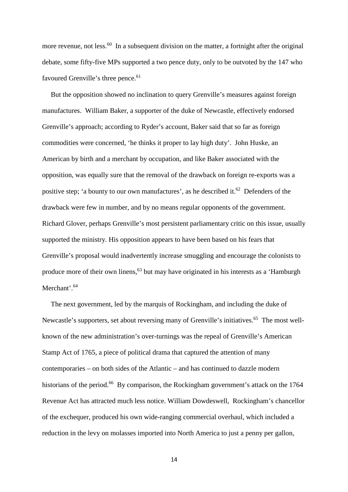more revenue, not less.<sup>60</sup> In a subsequent division on the matter, a fortnight after the original debate, some fifty-five MPs supported a two pence duty, only to be outvoted by the 147 who favoured Grenville's three pence.<sup>61</sup>

But the opposition showed no inclination to query Grenville's measures against foreign manufactures. William Baker, a supporter of the duke of Newcastle, effectively endorsed Grenville's approach; according to Ryder's account, Baker said that so far as foreign commodities were concerned, 'he thinks it proper to lay high duty'. John Huske, an American by birth and a merchant by occupation, and like Baker associated with the opposition, was equally sure that the removal of the drawback on foreign re-exports was a positive step; 'a bounty to our own manufactures', as he described it.<sup>62</sup> Defenders of the drawback were few in number, and by no means regular opponents of the government. Richard Glover, perhaps Grenville's most persistent parliamentary critic on this issue, usually supported the ministry. His opposition appears to have been based on his fears that Grenville's proposal would inadvertently increase smuggling and encourage the colonists to produce more of their own linens,  $63$  but may have originated in his interests as a 'Hamburgh' Merchant'.<sup>64</sup>

The next government, led by the marquis of Rockingham, and including the duke of Newcastle's supporters, set about reversing many of Grenville's initiatives.<sup>65</sup> The most wellknown of the new administration's over-turnings was the repeal of Grenville's American Stamp Act of 1765, a piece of political drama that captured the attention of many contemporaries – on both sides of the Atlantic – and has continued to dazzle modern historians of the period.<sup>66</sup> By comparison, the Rockingham government's attack on the 1764 Revenue Act has attracted much less notice. William Dowdeswell, Rockingham's chancellor of the exchequer, produced his own wide-ranging commercial overhaul, which included a reduction in the levy on molasses imported into North America to just a penny per gallon,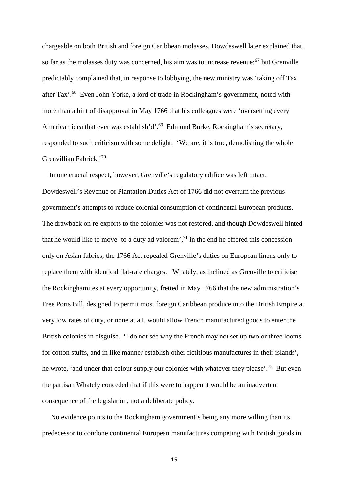chargeable on both British and foreign Caribbean molasses. Dowdeswell later explained that, so far as the molasses duty was concerned, his aim was to increase revenue; $67$  but Grenville predictably complained that, in response to lobbying, the new ministry was 'taking off Tax after Tax'.<sup>68</sup> Even John Yorke, a lord of trade in Rockingham's government, noted with more than a hint of disapproval in May 1766 that his colleagues were 'oversetting every American idea that ever was establish'd'.<sup>69</sup> Edmund Burke, Rockingham's secretary, responded to such criticism with some delight: 'We are, it is true, demolishing the whole Grenvillian Fabrick.'<sup>70</sup>

In one crucial respect, however, Grenville's regulatory edifice was left intact. Dowdeswell's Revenue or Plantation Duties Act of 1766 did not overturn the previous government's attempts to reduce colonial consumption of continental European products. The drawback on re-exports to the colonies was not restored, and though Dowdeswell hinted that he would like to move 'to a duty ad valorem',  $^{71}$  in the end he offered this concession only on Asian fabrics; the 1766 Act repealed Grenville's duties on European linens only to replace them with identical flat-rate charges. Whately, as inclined as Grenville to criticise the Rockinghamites at every opportunity, fretted in May 1766 that the new administration's Free Ports Bill, designed to permit most foreign Caribbean produce into the British Empire at very low rates of duty, or none at all, would allow French manufactured goods to enter the British colonies in disguise. 'I do not see why the French may not set up two or three looms for cotton stuffs, and in like manner establish other fictitious manufactures in their islands', he wrote, 'and under that colour supply our colonies with whatever they please'.<sup>72</sup> But even the partisan Whately conceded that if this were to happen it would be an inadvertent consequence of the legislation, not a deliberate policy.

No evidence points to the Rockingham government's being any more willing than its predecessor to condone continental European manufactures competing with British goods in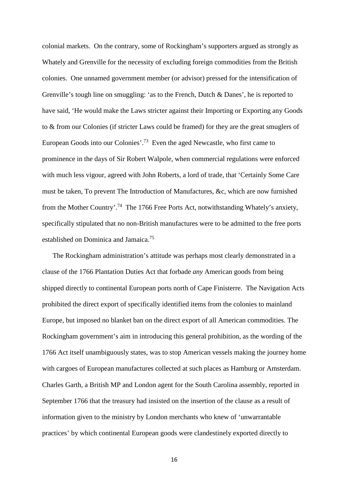colonial markets. On the contrary, some of Rockingham's supporters argued as strongly as Whately and Grenville for the necessity of excluding foreign commodities from the British colonies. One unnamed government member (or advisor) pressed for the intensification of Grenville's tough line on smuggling: 'as to the French, Dutch & Danes', he is reported to have said, 'He would make the Laws stricter against their Importing or Exporting any Goods to & from our Colonies (if stricter Laws could be framed) for they are the great smuglers of European Goods into our Colonies'.<sup>73</sup> Even the aged Newcastle, who first came to prominence in the days of Sir Robert Walpole, when commercial regulations were enforced with much less vigour, agreed with John Roberts, a lord of trade, that 'Certainly Some Care must be taken, To prevent The Introduction of Manufactures, &c, which are now furnished from the Mother Country'.<sup>74</sup> The 1766 Free Ports Act, notwithstanding Whately's anxiety, specifically stipulated that no non-British manufactures were to be admitted to the free ports established on Dominica and Jamaica.<sup>75</sup>

The Rockingham administration's attitude was perhaps most clearly demonstrated in a clause of the 1766 Plantation Duties Act that forbade *any* American goods from being shipped directly to continental European ports north of Cape Finisterre. The Navigation Acts prohibited the direct export of specifically identified items from the colonies to mainland Europe, but imposed no blanket ban on the direct export of all American commodities. The Rockingham government's aim in introducing this general prohibition, as the wording of the 1766 Act itself unambiguously states, was to stop American vessels making the journey home with cargoes of European manufactures collected at such places as Hamburg or Amsterdam. Charles Garth, a British MP and London agent for the South Carolina assembly, reported in September 1766 that the treasury had insisted on the insertion of the clause as a result of information given to the ministry by London merchants who knew of 'unwarrantable practices' by which continental European goods were clandestinely exported directly to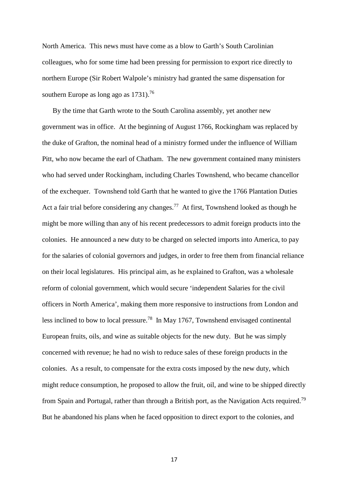North America. This news must have come as a blow to Garth's South Carolinian colleagues, who for some time had been pressing for permission to export rice directly to northern Europe (Sir Robert Walpole's ministry had granted the same dispensation for southern Europe as long ago as  $1731$ .<sup>76</sup>

By the time that Garth wrote to the South Carolina assembly, yet another new government was in office. At the beginning of August 1766, Rockingham was replaced by the duke of Grafton, the nominal head of a ministry formed under the influence of William Pitt, who now became the earl of Chatham. The new government contained many ministers who had served under Rockingham, including Charles Townshend, who became chancellor of the exchequer. Townshend told Garth that he wanted to give the 1766 Plantation Duties Act a fair trial before considering any changes.<sup>77</sup> At first, Townshend looked as though he might be more willing than any of his recent predecessors to admit foreign products into the colonies. He announced a new duty to be charged on selected imports into America, to pay for the salaries of colonial governors and judges, in order to free them from financial reliance on their local legislatures. His principal aim, as he explained to Grafton, was a wholesale reform of colonial government, which would secure 'independent Salaries for the civil officers in North America', making them more responsive to instructions from London and less inclined to bow to local pressure.<sup>78</sup> In May 1767, Townshend envisaged continental European fruits, oils, and wine as suitable objects for the new duty. But he was simply concerned with revenue; he had no wish to reduce sales of these foreign products in the colonies. As a result, to compensate for the extra costs imposed by the new duty, which might reduce consumption, he proposed to allow the fruit, oil, and wine to be shipped directly from Spain and Portugal, rather than through a British port, as the Navigation Acts required.<sup>79</sup> But he abandoned his plans when he faced opposition to direct export to the colonies, and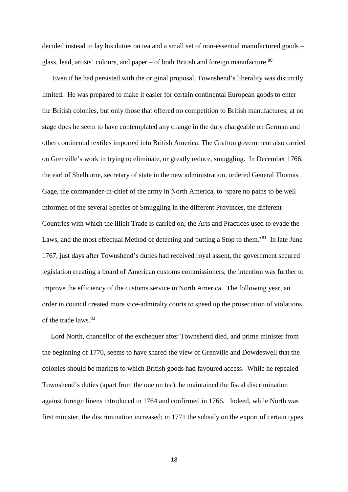decided instead to lay his duties on tea and a small set of non-essential manufactured goods – glass, lead, artists' colours, and paper – of both British and foreign manufacture. $80$ 

Even if he had persisted with the original proposal, Townshend's liberality was distinctly limited. He was prepared to make it easier for certain continental European goods to enter the British colonies, but only those that offered no competition to British manufactures; at no stage does he seem to have contemplated any change in the duty chargeable on German and other continental textiles imported into British America. The Grafton government also carried on Grenville's work in trying to eliminate, or greatly reduce, smuggling. In December 1766, the earl of Shelburne, secretary of state in the new administration, ordered General Thomas Gage, the commander-in-chief of the army in North America, to 'spare no pains to be well informed of the several Species of Smuggling in the different Provinces, the different Countries with which the illicit Trade is carried on; the Arts and Practices used to evade the Laws, and the most effectual Method of detecting and putting a Stop to them.<sup>81</sup> In late June 1767, just days after Townshend's duties had received royal assent, the government secured legislation creating a board of American customs commissioners; the intention was further to improve the efficiency of the customs service in North America. The following year, an order in council created more vice-admiralty courts to speed up the prosecution of violations of the trade laws.<sup>82</sup>

Lord North, chancellor of the exchequer after Townshend died, and prime minister from the beginning of 1770, seems to have shared the view of Grenville and Dowdeswell that the colonies should be markets to which British goods had favoured access. While he repealed Townshend's duties (apart from the one on tea), he maintained the fiscal discrimination against foreign linens introduced in 1764 and confirmed in 1766. Indeed, while North was first minister, the discrimination increased; in 1771 the subsidy on the export of certain types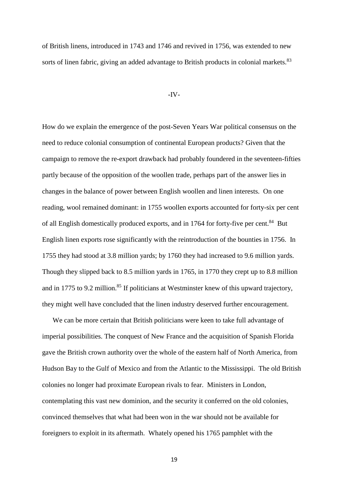of British linens, introduced in 1743 and 1746 and revived in 1756, was extended to new sorts of linen fabric, giving an added advantage to British products in colonial markets.<sup>83</sup>

## -IV-

How do we explain the emergence of the post-Seven Years War political consensus on the need to reduce colonial consumption of continental European products? Given that the campaign to remove the re-export drawback had probably foundered in the seventeen-fifties partly because of the opposition of the woollen trade, perhaps part of the answer lies in changes in the balance of power between English woollen and linen interests. On one reading, wool remained dominant: in 1755 woollen exports accounted for forty-six per cent of all English domestically produced exports, and in 1764 for forty-five per cent.<sup>84</sup> But English linen exports rose significantly with the reintroduction of the bounties in 1756. In 1755 they had stood at 3.8 million yards; by 1760 they had increased to 9.6 million yards. Though they slipped back to 8.5 million yards in 1765, in 1770 they crept up to 8.8 million and in 1775 to 9.2 million.<sup>85</sup> If politicians at Westminster knew of this upward trajectory, they might well have concluded that the linen industry deserved further encouragement.

We can be more certain that British politicians were keen to take full advantage of imperial possibilities. The conquest of New France and the acquisition of Spanish Florida gave the British crown authority over the whole of the eastern half of North America, from Hudson Bay to the Gulf of Mexico and from the Atlantic to the Mississippi. The old British colonies no longer had proximate European rivals to fear. Ministers in London, contemplating this vast new dominion, and the security it conferred on the old colonies, convinced themselves that what had been won in the war should not be available for foreigners to exploit in its aftermath. Whately opened his 1765 pamphlet with the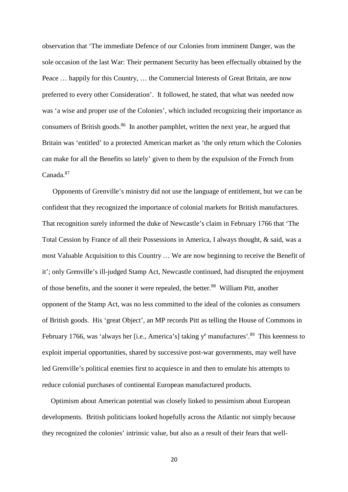observation that 'The immediate Defence of our Colonies from imminent Danger, was the sole occasion of the last War: Their permanent Security has been effectually obtained by the Peace … happily for this Country, … the Commercial Interests of Great Britain, are now preferred to every other Consideration'. It followed, he stated, that what was needed now was 'a wise and proper use of the Colonies', which included recognizing their importance as consumers of British goods.<sup>86</sup> In another pamphlet, written the next year, he argued that Britain was 'entitled' to a protected American market as 'the only return which the Colonies can make for all the Benefits so lately' given to them by the expulsion of the French from Canada.<sup>87</sup>

Opponents of Grenville's ministry did not use the language of entitlement, but we can be confident that they recognized the importance of colonial markets for British manufactures. That recognition surely informed the duke of Newcastle's claim in February 1766 that 'The Total Cession by France of all their Possessions in America, I always thought, & said, was a most Valuable Acquisition to this Country … We are now beginning to receive the Benefit of it'; only Grenville's ill-judged Stamp Act, Newcastle continued, had disrupted the enjoyment of those benefits, and the sooner it were repealed, the better.<sup>88</sup> William Pitt, another opponent of the Stamp Act, was no less committed to the ideal of the colonies as consumers of British goods. His 'great Object', an MP records Pitt as telling the House of Commons in February 1766, was 'always her [i.e., America's] taking  $y^e$  manufactures'.<sup>89</sup> This keenness to exploit imperial opportunities, shared by successive post-war governments, may well have led Grenville's political enemies first to acquiesce in and then to emulate his attempts to reduce colonial purchases of continental European manufactured products.

Optimism about American potential was closely linked to pessimism about European developments. British politicians looked hopefully across the Atlantic not simply because they recognized the colonies' intrinsic value, but also as a result of their fears that well-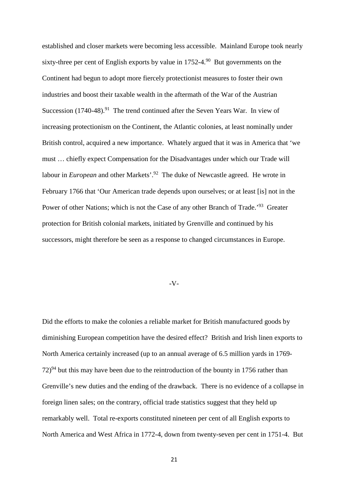established and closer markets were becoming less accessible. Mainland Europe took nearly sixty-three per cent of English exports by value in  $1752-4$ .<sup>90</sup> But governments on the Continent had begun to adopt more fiercely protectionist measures to foster their own industries and boost their taxable wealth in the aftermath of the War of the Austrian Succession  $(1740-48)$ <sup>91</sup> The trend continued after the Seven Years War. In view of increasing protectionism on the Continent, the Atlantic colonies, at least nominally under British control, acquired a new importance. Whately argued that it was in America that 'we must … chiefly expect Compensation for the Disadvantages under which our Trade will labour in *European* and other Markets'.<sup>92</sup> The duke of Newcastle agreed. He wrote in February 1766 that 'Our American trade depends upon ourselves; or at least [is] not in the Power of other Nations; which is not the Case of any other Branch of Trade.<sup>'93</sup> Greater protection for British colonial markets, initiated by Grenville and continued by his successors, might therefore be seen as a response to changed circumstances in Europe.

#### -V-

Did the efforts to make the colonies a reliable market for British manufactured goods by diminishing European competition have the desired effect? British and Irish linen exports to North America certainly increased (up to an annual average of 6.5 million yards in 1769-  $72$ <sup>94</sup> but this may have been due to the reintroduction of the bounty in 1756 rather than Grenville's new duties and the ending of the drawback. There is no evidence of a collapse in foreign linen sales; on the contrary, official trade statistics suggest that they held up remarkably well. Total re-exports constituted nineteen per cent of all English exports to North America and West Africa in 1772-4, down from twenty-seven per cent in 1751-4. But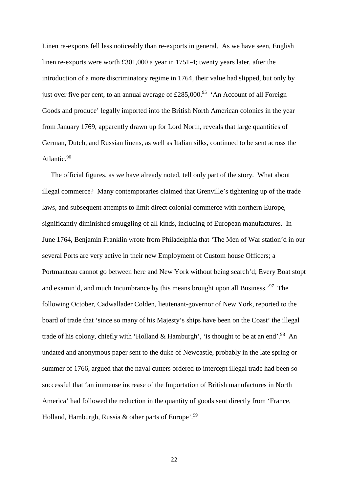Linen re-exports fell less noticeably than re-exports in general. As we have seen, English linen re-exports were worth £301,000 a year in 1751-4; twenty years later, after the introduction of a more discriminatory regime in 1764, their value had slipped, but only by just over five per cent, to an annual average of  $\text{\pounds}285,000$ .<sup>95</sup> 'An Account of all Foreign Goods and produce' legally imported into the British North American colonies in the year from January 1769, apparently drawn up for Lord North, reveals that large quantities of German, Dutch, and Russian linens, as well as Italian silks, continued to be sent across the Atlantic.<sup>96</sup>

The official figures, as we have already noted, tell only part of the story. What about illegal commerce? Many contemporaries claimed that Grenville's tightening up of the trade laws, and subsequent attempts to limit direct colonial commerce with northern Europe, significantly diminished smuggling of all kinds, including of European manufactures. In June 1764, Benjamin Franklin wrote from Philadelphia that 'The Men of War station'd in our several Ports are very active in their new Employment of Custom house Officers; a Portmanteau cannot go between here and New York without being search'd; Every Boat stopt and examin'd, and much Incumbrance by this means brought upon all Business.'<sup>97</sup> The following October, Cadwallader Colden, lieutenant-governor of New York, reported to the board of trade that 'since so many of his Majesty's ships have been on the Coast' the illegal trade of his colony, chiefly with 'Holland & Hamburgh', 'is thought to be at an end'.<sup>98</sup> An undated and anonymous paper sent to the duke of Newcastle, probably in the late spring or summer of 1766, argued that the naval cutters ordered to intercept illegal trade had been so successful that 'an immense increase of the Importation of British manufactures in North America' had followed the reduction in the quantity of goods sent directly from 'France, Holland, Hamburgh, Russia & other parts of Europe'.<sup>99</sup>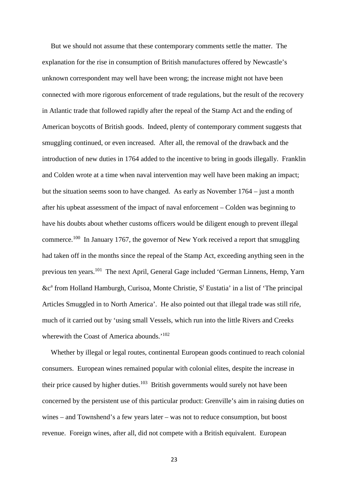But we should not assume that these contemporary comments settle the matter. The explanation for the rise in consumption of British manufactures offered by Newcastle's unknown correspondent may well have been wrong; the increase might not have been connected with more rigorous enforcement of trade regulations, but the result of the recovery in Atlantic trade that followed rapidly after the repeal of the Stamp Act and the ending of American boycotts of British goods. Indeed, plenty of contemporary comment suggests that smuggling continued, or even increased. After all, the removal of the drawback and the introduction of new duties in 1764 added to the incentive to bring in goods illegally. Franklin and Colden wrote at a time when naval intervention may well have been making an impact; but the situation seems soon to have changed. As early as November 1764 – just a month after his upbeat assessment of the impact of naval enforcement – Colden was beginning to have his doubts about whether customs officers would be diligent enough to prevent illegal commerce.<sup>100</sup> In January 1767, the governor of New York received a report that smuggling had taken off in the months since the repeal of the Stamp Act, exceeding anything seen in the previous ten years.<sup>101</sup> The next April, General Gage included 'German Linnens, Hemp, Yarn &c<sup>a</sup> from Holland Hamburgh, Curisoa, Monte Christie, S<sup>t</sup> Eustatia' in a list of 'The principal Articles Smuggled in to North America'. He also pointed out that illegal trade was still rife, much of it carried out by 'using small Vessels, which run into the little Rivers and Creeks wherewith the Coast of America abounds.<sup>'102</sup>

Whether by illegal or legal routes, continental European goods continued to reach colonial consumers. European wines remained popular with colonial elites, despite the increase in their price caused by higher duties.<sup>103</sup> British governments would surely not have been concerned by the persistent use of this particular product: Grenville's aim in raising duties on wines – and Townshend's a few years later – was not to reduce consumption, but boost revenue. Foreign wines, after all, did not compete with a British equivalent. European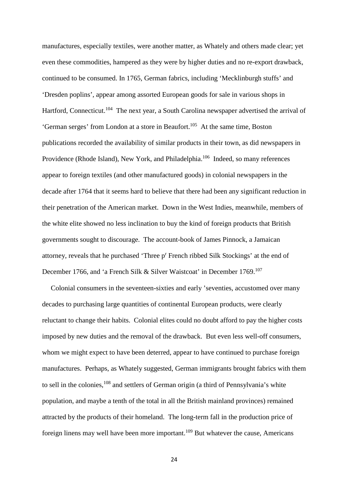manufactures, especially textiles, were another matter, as Whately and others made clear; yet even these commodities, hampered as they were by higher duties and no re-export drawback, continued to be consumed. In 1765, German fabrics, including 'Mecklinburgh stuffs' and 'Dresden poplins', appear among assorted European goods for sale in various shops in Hartford, Connecticut.<sup>104</sup> The next year, a South Carolina newspaper advertised the arrival of 'German serges' from London at a store in Beaufort.<sup>105</sup> At the same time, Boston publications recorded the availability of similar products in their town, as did newspapers in Providence (Rhode Island), New York, and Philadelphia.<sup>106</sup> Indeed, so many references appear to foreign textiles (and other manufactured goods) in colonial newspapers in the decade after 1764 that it seems hard to believe that there had been any significant reduction in their penetration of the American market. Down in the West Indies, meanwhile, members of the white elite showed no less inclination to buy the kind of foreign products that British governments sought to discourage. The account-book of James Pinnock, a Jamaican attorney, reveals that he purchased 'Three p' French ribbed Silk Stockings' at the end of December 1766, and 'a French Silk & Silver Waistcoat' in December 1769.<sup>107</sup>

Colonial consumers in the seventeen-sixties and early 'seventies, accustomed over many decades to purchasing large quantities of continental European products, were clearly reluctant to change their habits. Colonial elites could no doubt afford to pay the higher costs imposed by new duties and the removal of the drawback. But even less well-off consumers, whom we might expect to have been deterred, appear to have continued to purchase foreign manufactures. Perhaps, as Whately suggested, German immigrants brought fabrics with them to sell in the colonies,<sup>108</sup> and settlers of German origin (a third of Pennsylvania's white population, and maybe a tenth of the total in all the British mainland provinces) remained attracted by the products of their homeland. The long-term fall in the production price of foreign linens may well have been more important.<sup>109</sup> But whatever the cause, Americans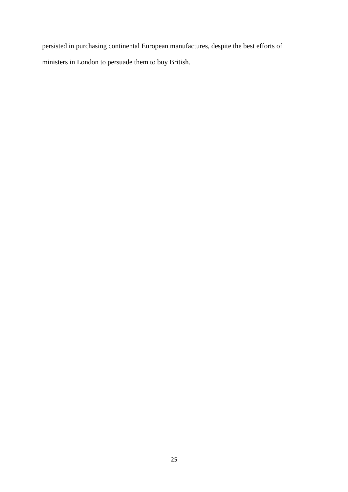persisted in purchasing continental European manufactures, despite the best efforts of ministers in London to persuade them to buy British.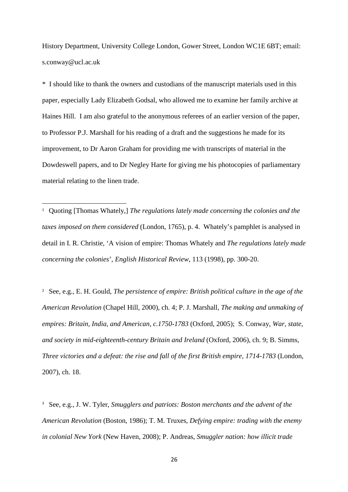History Department, University College London, Gower Street, London WC1E 6BT; email: s.conway@ucl.ac.uk

\* I should like to thank the owners and custodians of the manuscript materials used in this paper, especially Lady Elizabeth Godsal, who allowed me to examine her family archive at Haines Hill. I am also grateful to the anonymous referees of an earlier version of the paper, to Professor P.J. Marshall for his reading of a draft and the suggestions he made for its improvement, to Dr Aaron Graham for providing me with transcripts of material in the Dowdeswell papers, and to Dr Negley Harte for giving me his photocopies of parliamentary material relating to the linen trade.

<sup>1</sup> Quoting [Thomas Whately,] *The regulations lately made concerning the colonies and the taxes imposed on them considered* (London, 1765), p. 4. Whately's pamphlet is analysed in detail in I. R. Christie, 'A vision of empire: Thomas Whately and *The regulations lately made concerning the colonies*', *English Historical Review*, 113 (1998), pp. 300-20.

<sup>2</sup> See, e.g., E. H. Gould, *The persistence of empire: British political culture in the age of the American Revolution* (Chapel Hill, 2000), ch. 4; P. J. Marshall, *The making and unmaking of empires: Britain, India, and American, c.1750-1783* (Oxford, 2005); S. Conway, *War, state, and society in mid-eighteenth-century Britain and Ireland* (Oxford, 2006), ch. 9; B. Simms, *Three victories and a defeat: the rise and fall of the first British empire, 1714-1783* (London, 2007), ch. 18.

<sup>3</sup> See, e.g., J. W. Tyler, *Smugglers and patriots: Boston merchants and the advent of the American Revolution* (Boston, 1986); T. M. Truxes, *Defying empire: trading with the enemy in colonial New York* (New Haven, 2008); P. Andreas, *Smuggler nation: how illicit trade*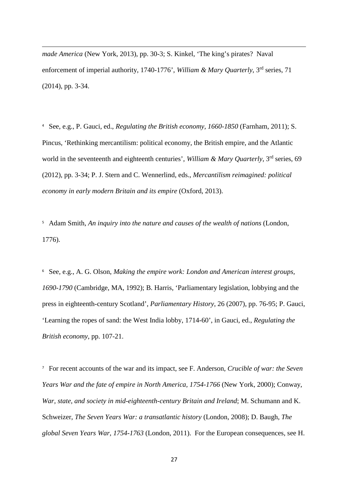*made America* (New York, 2013), pp. 30-3; S. Kinkel, 'The king's pirates? Naval enforcement of imperial authority, 1740-1776', *William & Mary Quarterly*, 3<sup>rd</sup> series, 71 (2014), pp. 3-34.

<sup>4</sup> See, e.g., P. Gauci, ed., *Regulating the British economy, 1660-1850* (Farnham, 2011); S. Pincus, 'Rethinking mercantilism: political economy, the British empire, and the Atlantic world in the seventeenth and eighteenth centuries', *William & Mary Quarterly*, 3<sup>rd</sup> series, 69 (2012), pp. 3-34; P. J. Stern and C. Wennerlind, eds., *Mercantilism reimagined: political economy in early modern Britain and its empire* (Oxford, 2013).

<sup>5</sup> Adam Smith, *An inquiry into the nature and causes of the wealth of nations* (London, 1776).

<sup>6</sup> See, e.g., A. G. Olson, *Making the empire work: London and American interest groups, 1690-1790* (Cambridge, MA, 1992); B. Harris, 'Parliamentary legislation, lobbying and the press in eighteenth-century Scotland', *Parliamentary History*, 26 (2007), pp. 76-95; P. Gauci, 'Learning the ropes of sand: the West India lobby, 1714-60', in Gauci, ed., *Regulating the British economy*, pp. 107-21.

<sup>7</sup> For recent accounts of the war and its impact, see F. Anderson, *Crucible of war: the Seven Years War and the fate of empire in North America, 1754-1766* (New York, 2000); Conway, *War, state, and society in mid-eighteenth-century Britain and Ireland*; M. Schumann and K. Schweizer, *The Seven Years War: a transatlantic history* (London, 2008); D. Baugh, *The global Seven Years War, 1754-1763* (London, 2011). For the European consequences, see H.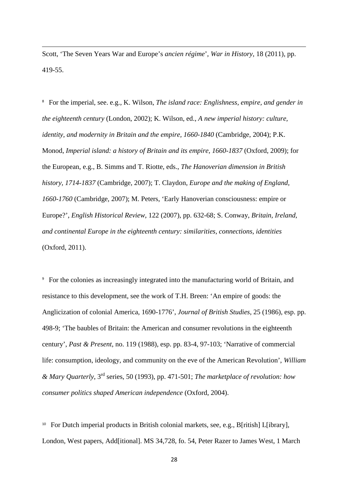Scott, 'The Seven Years War and Europe's *ancien régime*', *War in History*, 18 (2011), pp. 419-55.

<sup>8</sup> For the imperial, see. e.g., K. Wilson, *The island race: Englishness, empire, and gender in the eighteenth century* (London, 2002); K. Wilson, ed., *A new imperial history: culture, identity, and modernity in Britain and the empire, 1660-1840* (Cambridge, 2004); P.K. Monod, *Imperial island: a history of Britain and its empire, 1660-1837* (Oxford, 2009); for the European, e.g., B. Simms and T. Riotte, eds., *The Hanoverian dimension in British history, 1714-1837* (Cambridge, 2007); T. Claydon, *Europe and the making of England, 1660-1760* (Cambridge, 2007); M. Peters, 'Early Hanoverian consciousness: empire or Europe?', *English Historical Review*, 122 (2007), pp. 632-68; S. Conway, *Britain, Ireland, and continental Europe in the eighteenth century: similarities, connections, identities* (Oxford, 2011).

<sup>9</sup> For the colonies as increasingly integrated into the manufacturing world of Britain, and resistance to this development, see the work of T.H. Breen: 'An empire of goods: the Anglicization of colonial America, 1690-1776', *Journal of British Studies*, 25 (1986), esp. pp. 498-9; 'The baubles of Britain: the American and consumer revolutions in the eighteenth century', *Past & Present*, no. 119 (1988), esp. pp. 83-4, 97-103; 'Narrative of commercial life: consumption, ideology, and community on the eve of the American Revolution', *William & Mary Quarterly*, 3rd series, 50 (1993), pp. 471-501; *The marketplace of revolution: how consumer politics shaped American independence* (Oxford, 2004).

<sup>10</sup> For Dutch imperial products in British colonial markets, see, e.g., B[ritish] L[ibrary], London, West papers, Add[itional]. MS 34,728, fo. 54, Peter Razer to James West, 1 March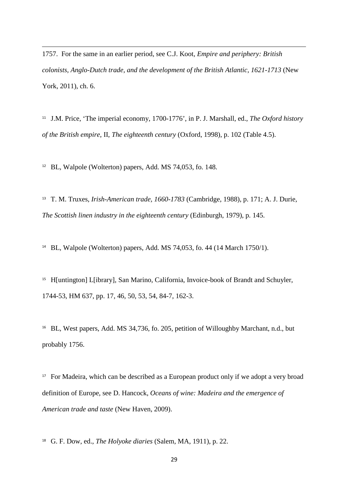1757. For the same in an earlier period, see C.J. Koot, *Empire and periphery: British colonists, Anglo-Dutch trade, and the development of the British Atlantic, 1621-1713* (New York, 2011), ch. 6.

<sup>11</sup> J.M. Price, 'The imperial economy, 1700-1776', in P. J. Marshall, ed., *The Oxford history of the British empire*, II, *The eighteenth century* (Oxford, 1998), p. 102 (Table 4.5).

<sup>12</sup> BL, Walpole (Wolterton) papers, Add. MS 74,053, fo. 148.

<sup>13</sup> T. M. Truxes, *Irish-American trade, 1660-1783* (Cambridge, 1988), p. 171; A. J. Durie, *The Scottish linen industry in the eighteenth century* (Edinburgh, 1979), p. 145.

<sup>14</sup> BL, Walpole (Wolterton) papers, Add. MS 74,053, fo. 44 (14 March 1750/1).

<sup>15</sup> H[untington] L[ibrary], San Marino, California, Invoice-book of Brandt and Schuyler, 1744-53, HM 637, pp. 17, 46, 50, 53, 54, 84-7, 162-3.

<sup>16</sup> BL, West papers, Add. MS 34,736, fo. 205, petition of Willoughby Marchant, n.d., but probably 1756.

<sup>17</sup> For Madeira, which can be described as a European product only if we adopt a very broad definition of Europe, see D. Hancock, *Oceans of wine: Madeira and the emergence of American trade and taste* (New Haven, 2009).

<sup>18</sup> G. F. Dow, ed., *The Holyoke diaries* (Salem, MA, 1911), p. 22.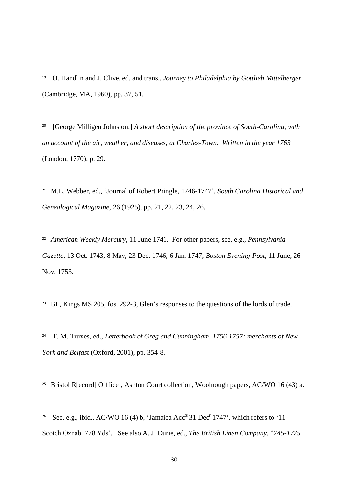<sup>19</sup> O. Handlin and J. Clive, ed. and trans., *Journey to Philadelphia by Gottlieb Mittelberger* (Cambridge, MA, 1960), pp. 37, 51.

<sup>20</sup> [George Milligen Johnston,] *A short description of the province of South-Carolina, with an account of the air, weather, and diseases, at Charles-Town. Written in the year 1763* (London, 1770), p. 29.

<sup>21</sup> M.L. Webber, ed., 'Journal of Robert Pringle, 1746-1747', *South Carolina Historical and Genealogical Magazine*, 26 (1925), pp. 21, 22, 23, 24, 26.

<sup>22</sup> *American Weekly Mercury*, 11 June 1741. For other papers, see, e.g., *Pennsylvania Gazette*, 13 Oct. 1743, 8 May, 23 Dec. 1746, 6 Jan. 1747; *Boston Evening-Post*, 11 June, 26 Nov. 1753.

<sup>23</sup> BL, Kings MS 205, fos. 292-3, Glen's responses to the questions of the lords of trade.

<sup>24</sup> T. M. Truxes, ed., *Letterbook of Greg and Cunningham, 1756-1757: merchants of New York and Belfast* (Oxford, 2001), pp. 354-8.

<sup>25</sup> Bristol R[ecord] O[ffice], Ashton Court collection, Woolnough papers, AC/WO 16 (43) a.

<sup>26</sup> See, e.g., ibid., AC/WO 16 (4) b, 'Jamaica Acc<sup>ts</sup> 31 Dec<sup>r</sup> 1747', which refers to '11 Scotch Oznab. 778 Yds'. See also A. J. Durie, ed., *The British Linen Company, 1745-1775*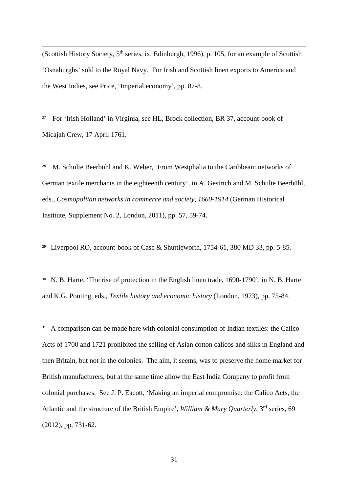(Scottish History Society,  $5<sup>th</sup>$  series, ix, Edinburgh, 1996), p. 105, for an example of Scottish 'Osnaburghs' sold to the Royal Navy. For Irish and Scottish linen exports to America and the West Indies, see Price, 'Imperial economy', pp. 87-8.

<sup>27</sup> For 'Irish Holland' in Virginia, see HL, Brock collection, BR 37, account-book of Micajah Crew, 17 April 1761.

<sup>28</sup> M. Schulte Beerbühl and K. Weber, 'From Westphalia to the Caribbean: networks of German textile merchants in the eighteenth century', in A. Gestrich and M. Schulte Beerbühl, eds., *Cosmopolitan networks in commerce and society, 1660-1914* (German Historical Institute, Supplement No. 2, London, 2011), pp. 57, 59-74.

<sup>29</sup> Liverpool RO, account-book of Case & Shuttleworth, 1754-61, 380 MD 33, pp. 5-85.

<sup>30</sup> N. B. Harte, 'The rise of protection in the English linen trade, 1690-1790', in N. B. Harte and K.G. Ponting, eds., *Textile history and economic history* (London, 1973), pp. 75-84.

<sup>31</sup> A comparison can be made here with colonial consumption of Indian textiles: the Calico Acts of 1700 and 1721 prohibited the selling of Asian cotton calicos and silks in England and then Britain, but not in the colonies. The aim, it seems, was to preserve the home market for British manufacturers, but at the same time allow the East India Company to profit from colonial purchases. See J. P. Eacott, 'Making an imperial compromise: the Calico Acts, the Atlantic and the structure of the British Empire', *William & Mary Quarterly*, 3<sup>rd</sup> series, 69 (2012), pp. 731-62.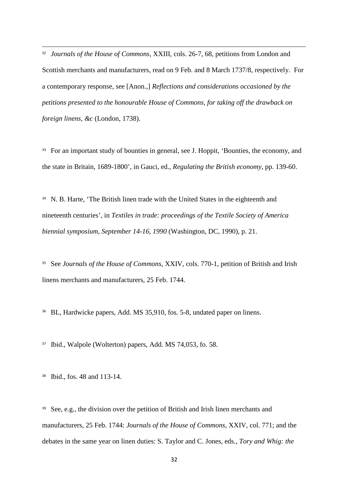<sup>32</sup> *Journals of the House of Commons*, XXIII, cols. 26-7, 68, petitions from London and Scottish merchants and manufacturers, read on 9 Feb. and 8 March 1737/8, respectively. For a contemporary response, see [Anon.,] *Reflections and considerations occasioned by the petitions presented to the honourable House of Commons, for taking off the drawback on foreign linens, &c* (London, 1738).

<sup>33</sup> For an important study of bounties in general, see J. Hoppit, 'Bounties, the economy, and the state in Britain, 1689-1800', in Gauci, ed., *Regulating the British economy*, pp. 139-60.

<sup>34</sup> N. B. Harte, 'The British linen trade with the United States in the eighteenth and nineteenth centuries', in *Textiles in trade: proceedings of the Textile Society of America biennial symposium, September 14-16, 1990* (Washington, DC, 1990), p. 21.

<sup>35</sup> See *Journals of the House of Commons*, XXIV, cols. 770-1, petition of British and Irish linens merchants and manufacturers, 25 Feb. 1744.

<sup>36</sup> BL, Hardwicke papers, Add. MS 35,910, fos. 5-8, undated paper on linens.

<sup>37</sup> Ibid., Walpole (Wolterton) papers, Add. MS 74,053, fo. 58.

<sup>38</sup> Ibid., fos. 48 and 113-14.

<sup>39</sup> See, e.g., the division over the petition of British and Irish linen merchants and manufacturers, 25 Feb. 1744: *Journals of the House of Commons*, XXIV, col. 771; and the debates in the same year on linen duties: S. Taylor and C. Jones, eds., *Tory and Whig: the*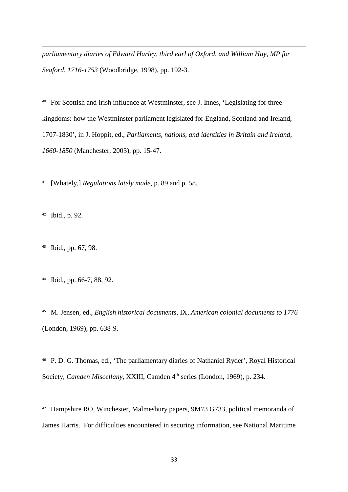*parliamentary diaries of Edward Harley, third earl of Oxford, and William Hay, MP for Seaford, 1716-1753* (Woodbridge, 1998), pp. 192-3.

<sup>40</sup> For Scottish and Irish influence at Westminster, see J. Innes, 'Legislating for three kingdoms: how the Westminster parliament legislated for England, Scotland and Ireland, 1707-1830', in J. Hoppit, ed., *Parliaments, nations, and identities in Britain and Ireland, 1660-1850* (Manchester, 2003), pp. 15-47.

<sup>41</sup> [Whately,] *Regulations lately made*, p. 89 and p. 58.

<sup>42</sup> Ibid., p. 92.

<sup>43</sup> Ibid., pp. 67, 98.

<sup>44</sup> Ibid., pp. 66-7, 88, 92.

<sup>45</sup> M. Jensen, ed., *English historical documents*, IX, *American colonial documents to 1776* (London, 1969), pp. 638-9.

<sup>46</sup> P. D. G. Thomas, ed., 'The parliamentary diaries of Nathaniel Ryder', Royal Historical Society, *Camden Miscellany*, XXIII, Camden 4<sup>th</sup> series (London, 1969), p. 234.

<sup>47</sup> Hampshire RO, Winchester, Malmesbury papers, 9M73 G733, political memoranda of James Harris. For difficulties encountered in securing information, see National Maritime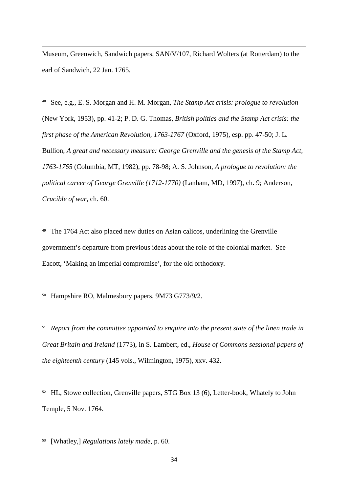Museum, Greenwich, Sandwich papers, SAN/V/107, Richard Wolters (at Rotterdam) to the earl of Sandwich, 22 Jan. 1765.

<sup>48</sup> See, e.g., E. S. Morgan and H. M. Morgan, *The Stamp Act crisis: prologue to revolution* (New York, 1953), pp. 41-2; P. D. G. Thomas, *British politics and the Stamp Act crisis: the first phase of the American Revolution, 1763-1767* (Oxford, 1975), esp. pp. 47-50; J. L. Bullion, *A great and necessary measure: George Grenville and the genesis of the Stamp Act, 1763-1765* (Columbia, MT, 1982), pp. 78-98; A. S. Johnson, *A prologue to revolution: the political career of George Grenville (1712-1770)* (Lanham, MD, 1997), ch. 9; Anderson, *Crucible of war*, ch. 60.

<sup>49</sup> The 1764 Act also placed new duties on Asian calicos, underlining the Grenville government's departure from previous ideas about the role of the colonial market. See Eacott, 'Making an imperial compromise', for the old orthodoxy.

<sup>50</sup> Hampshire RO, Malmesbury papers, 9M73 G773/9/2.

<sup>51</sup> *Report from the committee appointed to enquire into the present state of the linen trade in Great Britain and Ireland* (1773), in S. Lambert, ed., *House of Commons sessional papers of the eighteenth century* (145 vols., Wilmington, 1975), xxv. 432.

<sup>52</sup> HL, Stowe collection, Grenville papers, STG Box 13 (6), Letter-book, Whately to John Temple, 5 Nov. 1764.

<sup>53</sup> [Whatley,] *Regulations lately made*, p. 60.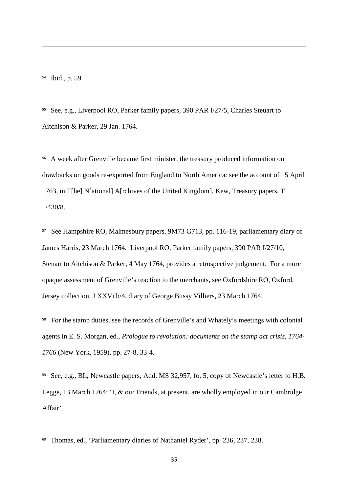<sup>54</sup> Ibid., p. 59.

<sup>55</sup> See, e.g., Liverpool RO, Parker family papers, 390 PAR I/27/5, Charles Steuart to Aitchison & Parker, 29 Jan. 1764.

<sup>56</sup> A week after Grenville became first minister, the treasury produced information on drawbacks on goods re-exported from England to North America: see the account of 15 April 1763, in T[he] N[ational] A[rchives of the United Kingdom], Kew, Treasury papers, T 1/430/8.

<sup>57</sup> See Hampshire RO, Malmesbury papers, 9M73 G713, pp. 116-19, parliamentary diary of James Harris, 23 March 1764. Liverpool RO, Parker family papers, 390 PAR I/27/10, Steuart to Aitchison & Parker, 4 May 1764, provides a retrospective judgement. For a more opaque assessment of Grenville's reaction to the merchants, see Oxfordshire RO, Oxford, Jersey collection, J XXVi b/4, diary of George Bussy Villiers, 23 March 1764.

<sup>58</sup> For the stamp duties, see the records of Grenville's and Whately's meetings with colonial agents in E. S. Morgan, ed., *Prologue to revolution: documents on the stamp act crisis, 1764- 1766* (New York, 1959), pp. 27-8, 33-4.

<sup>59</sup> See, e.g., BL, Newcastle papers, Add. MS 32,957, fo. 5, copy of Newcastle's letter to H.B. Legge, 13 March 1764: 'I, & our Friends, at present, are wholly employed in our Cambridge Affair'.

<sup>60</sup> Thomas, ed., 'Parliamentary diaries of Nathaniel Ryder', pp. 236, 237, 238.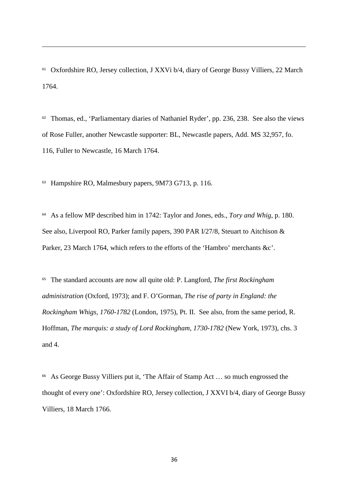<sup>61</sup> Oxfordshire RO, Jersey collection, J XXVi b/4, diary of George Bussy Villiers, 22 March 1764.

<sup>62</sup> Thomas, ed., 'Parliamentary diaries of Nathaniel Ryder', pp. 236, 238. See also the views of Rose Fuller, another Newcastle supporter: BL, Newcastle papers, Add. MS 32,957, fo. 116, Fuller to Newcastle, 16 March 1764.

<sup>63</sup> Hampshire RO, Malmesbury papers, 9M73 G713, p. 116.

<sup>64</sup> As a fellow MP described him in 1742: Taylor and Jones, eds., *Tory and Whig*, p. 180. See also, Liverpool RO, Parker family papers, 390 PAR I/27/8, Steuart to Aitchison & Parker, 23 March 1764, which refers to the efforts of the 'Hambro' merchants &c'.

<sup>65</sup> The standard accounts are now all quite old: P. Langford, *The first Rockingham administration* (Oxford, 1973); and F. O'Gorman, *The rise of party in England: the Rockingham Whigs, 1760-1782* (London, 1975), Pt. II. See also, from the same period, R. Hoffman, *The marquis: a study of Lord Rockingham, 1730-1782* (New York, 1973), chs. 3 and 4.

<sup>66</sup> As George Bussy Villiers put it, 'The Affair of Stamp Act … so much engrossed the thought of every one': Oxfordshire RO, Jersey collection, J XXVI b/4, diary of George Bussy Villiers, 18 March 1766.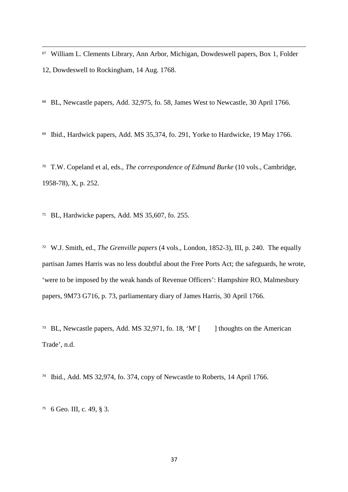<sup>67</sup> William L. Clements Library, Ann Arbor, Michigan, Dowdeswell papers, Box 1, Folder 12, Dowdeswell to Rockingham, 14 Aug. 1768.

<sup>68</sup> BL, Newcastle papers, Add. 32,975, fo. 58, James West to Newcastle, 30 April 1766.

<sup>69</sup> Ibid., Hardwick papers, Add. MS 35,374, fo. 291, Yorke to Hardwicke, 19 May 1766.

<sup>70</sup> T.W. Copeland et al, eds., *The correspondence of Edmund Burke* (10 vols., Cambridge, 1958-78), X, p. 252.

<sup>71</sup> BL, Hardwicke papers, Add. MS  $35,607$ , fo. 255.

<sup>72</sup> W.J. Smith, ed., *The Grenville papers* (4 vols., London, 1852-3), III, p. 240. The equally partisan James Harris was no less doubtful about the Free Ports Act; the safeguards, he wrote, 'were to be imposed by the weak hands of Revenue Officers': Hampshire RO, Malmesbury papers, 9M73 G716, p. 73, parliamentary diary of James Harris, 30 April 1766.

<sup>73</sup> BL, Newcastle papers, Add. MS 32,971, fo. 18, 'M' [ [ ] thoughts on the American Trade', n.d.

<sup>74</sup> Ibid., Add. MS 32,974, fo. 374, copy of Newcastle to Roberts, 14 April 1766.

 $75 \text{ }6$  Geo. III, c. 49, § 3.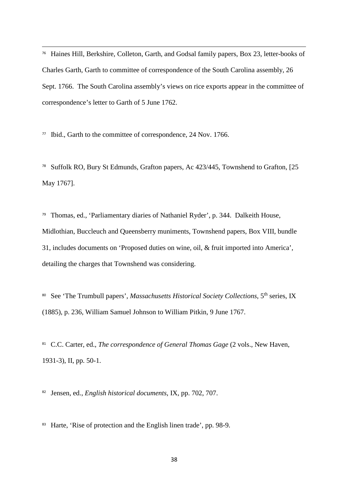<sup>76</sup> Haines Hill, Berkshire, Colleton, Garth, and Godsal family papers, Box 23, letter-books of Charles Garth, Garth to committee of correspondence of the South Carolina assembly, 26 Sept. 1766. The South Carolina assembly's views on rice exports appear in the committee of correspondence's letter to Garth of 5 June 1762.

<sup>77</sup> Ibid., Garth to the committee of correspondence, 24 Nov. 1766.

<sup>78</sup> Suffolk RO, Bury St Edmunds, Grafton papers, Ac 423/445, Townshend to Grafton, [25 May 1767].

<sup>79</sup> Thomas, ed., 'Parliamentary diaries of Nathaniel Ryder', p. 344. Dalkeith House, Midlothian, Buccleuch and Queensberry muniments, Townshend papers, Box VIII, bundle 31, includes documents on 'Proposed duties on wine, oil, & fruit imported into America', detailing the charges that Townshend was considering.

80 See 'The Trumbull papers', *Massachusetts Historical Society Collections*, 5<sup>th</sup> series, IX (1885), p. 236, William Samuel Johnson to William Pitkin, 9 June 1767.

<sup>81</sup> C.C. Carter, ed., *The correspondence of General Thomas Gage* (2 vols., New Haven, 1931-3), II, pp. 50-1.

<sup>82</sup> Jensen, ed., *English historical documents*, IX, pp. 702, 707.

<sup>83</sup> Harte, 'Rise of protection and the English linen trade', pp. 98-9.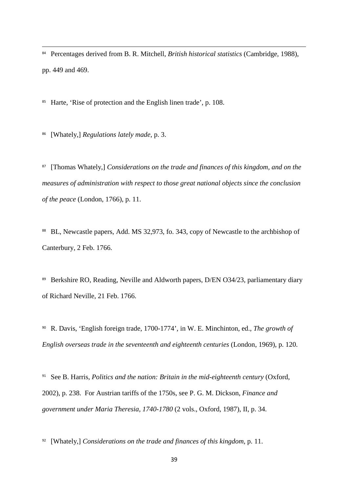<sup>84</sup> Percentages derived from B. R. Mitchell, *British historical statistics* (Cambridge, 1988), pp. 449 and 469.

<sup>85</sup> Harte, 'Rise of protection and the English linen trade', p. 108.

<sup>86</sup> [Whately,] *Regulations lately made*, p. 3.

<sup>87</sup> [Thomas Whately,] *Considerations on the trade and finances of this kingdom, and on the measures of administration with respect to those great national objects since the conclusion of the peace* (London, 1766), p. 11.

<sup>88</sup> BL, Newcastle papers, Add. MS 32,973, fo. 343, copy of Newcastle to the archbishop of Canterbury, 2 Feb. 1766.

<sup>89</sup> Berkshire RO, Reading, Neville and Aldworth papers, D/EN O34/23, parliamentary diary of Richard Neville, 21 Feb. 1766.

<sup>90</sup> R. Davis, 'English foreign trade, 1700-1774', in W. E. Minchinton, ed., *The growth of English overseas trade in the seventeenth and eighteenth centuries* (London, 1969), p. 120.

<sup>91</sup> See B. Harris, *Politics and the nation: Britain in the mid-eighteenth century* (Oxford, 2002), p. 238. For Austrian tariffs of the 1750s, see P. G. M. Dickson, *Finance and government under Maria Theresia, 1740-1780* (2 vols., Oxford, 1987), II, p. 34.

<sup>92</sup> [Whately,] *Considerations on the trade and finances of this kingdom*, p. 11.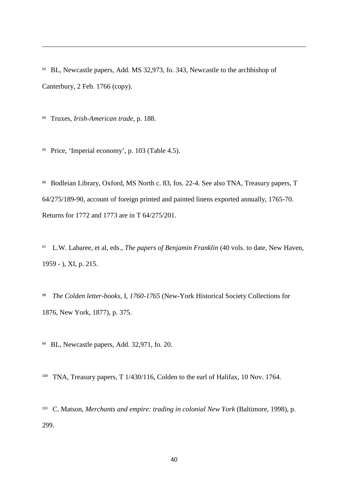<sup>93</sup> BL, Newcastle papers, Add. MS 32,973, fo. 343, Newcastle to the archbishop of Canterbury, 2 Feb. 1766 (copy).

<sup>94</sup> Truxes, *Irish-American trade*, p. 188.

<sup>95</sup> Price, 'Imperial economy', p. 103 (Table 4.5).

<sup>96</sup> Bodleian Library, Oxford, MS North c. 83, fos. 22-4. See also TNA, Treasury papers, T 64/275/189-90, account of foreign printed and painted linens exported annually, 1765-70. Returns for 1772 and 1773 are in T 64/275/201.

<sup>97</sup> L.W. Labaree, et al, eds., *The papers of Benjamin Franklin* (40 vols. to date, New Haven, 1959 - ), XI, p. 215.

<sup>98</sup> *The Colden letter-books*, I, *1760-1765* (New-York Historical Society Collections for 1876, New York, 1877), p. 375.

<sup>99</sup> BL, Newcastle papers, Add. 32,971, fo. 20.

<sup>100</sup> TNA, Treasury papers, T 1/430/116, Colden to the earl of Halifax, 10 Nov. 1764.

<sup>101</sup> C. Matson, *Merchants and empire: trading in colonial New York* (Baltimore, 1998), p. 299.